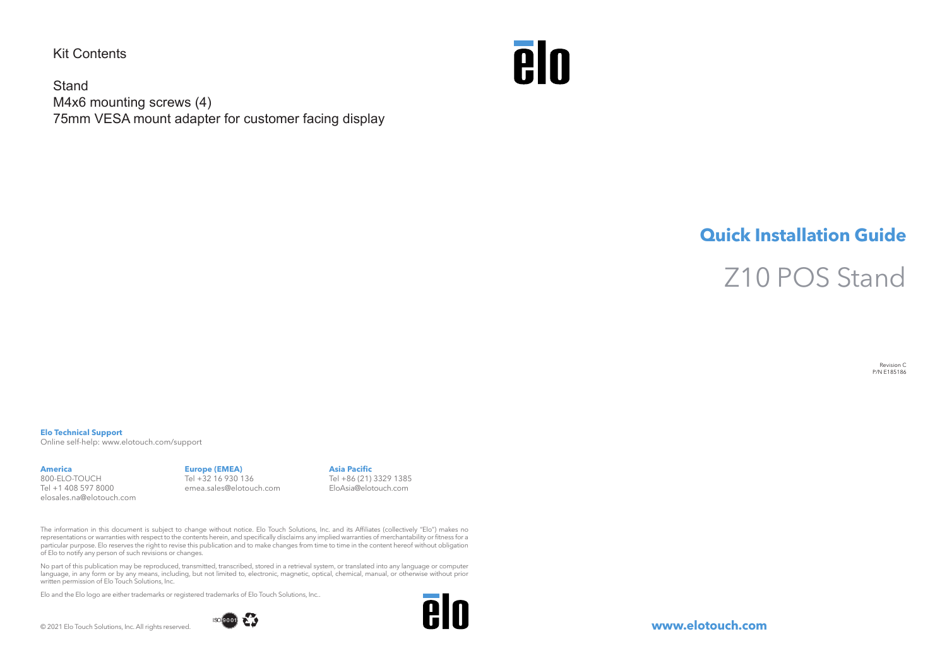Kit Contents

**Stand** M4x6 mounting screws (4) 75mm VESA mount adapter for customer facing display



## **Quick Installation Guide**

Z10 POS Stand

Revision C P/N E185186

## **Elo Technical Support**

Online self-help: www.elotouch.com/support

## **America**

800-ELO-TOUCH Tel +1 408 597 8000 elosales.na@elotouch.com

## **Europe (EMEA)** Tel +32 16 930 136 emea.sales@elotouch.com

**Asia Pacific** Tel +86 (21) 3329 1385 EloAsia@elotouch.com

The information in this document is subject to change without notice. Elo Touch Solutions, Inc. and its Affiliates (collectively "Elo") makes no representations or warranties with respect to the contents herein, and specifically disclaims any implied warranties of merchantability or fitness for a particular purpose. Elo reserves the right to revise this publication and to make changes from time to time in the content hereof without obligation of Elo to notify any person of such revisions or changes.

No part of this publication may be reproduced, transmitted, transcribed, stored in a retrieval system, or translated into any language or computer language, in any form or by any means, including, but not limited to, electronic, magnetic, optical, chemical, manual, or otherwise without prior written permission of Elo Touch Solutions, Inc.

Elo and the Elo logo are either trademarks or registered trademarks of Elo Touch Solutions, Inc..

© 2021 Elo Touch Solutions, Inc. All rights reserved.





**www.elotouch.com**